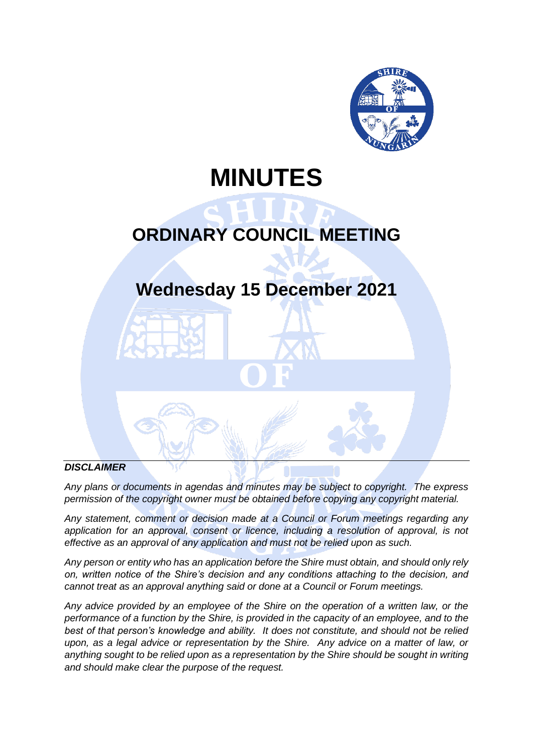

# **MINUTES**

# **ORDINARY COUNCIL MEETING**

# **Wednesday 15 December 2021**

## *DISCLAIMER*

*Any plans or documents in agendas and minutes may be subject to copyright. The express permission of the copyright owner must be obtained before copying any copyright material.*

*Any statement, comment or decision made at a Council or Forum meetings regarding any*  application for an approval, consent or licence, including a resolution of approval, is not *effective as an approval of any application and must not be relied upon as such.*

*Any person or entity who has an application before the Shire must obtain, and should only rely on, written notice of the Shire's decision and any conditions attaching to the decision, and cannot treat as an approval anything said or done at a Council or Forum meetings.*

*Any advice provided by an employee of the Shire on the operation of a written law, or the performance of a function by the Shire, is provided in the capacity of an employee, and to the best of that person's knowledge and ability. It does not constitute, and should not be relied upon, as a legal advice or representation by the Shire. Any advice on a matter of law, or anything sought to be relied upon as a representation by the Shire should be sought in writing and should make clear the purpose of the request.*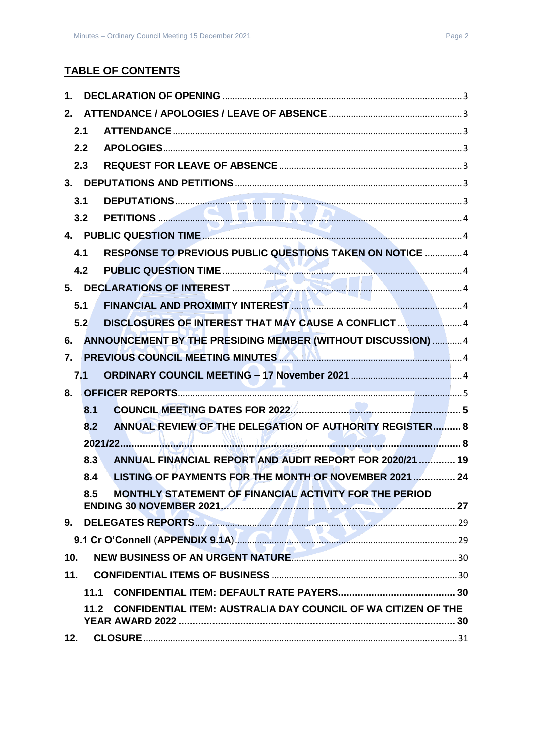## **TABLE OF CONTENTS**

| 1.               |      |                                                                                     |  |
|------------------|------|-------------------------------------------------------------------------------------|--|
| 2.               |      |                                                                                     |  |
|                  | 2.1  |                                                                                     |  |
|                  | 2.2  |                                                                                     |  |
|                  | 2.3  |                                                                                     |  |
|                  |      |                                                                                     |  |
|                  | 3.1  |                                                                                     |  |
|                  | 3.2  |                                                                                     |  |
|                  |      |                                                                                     |  |
|                  | 4.1  | RESPONSE TO PREVIOUS PUBLIC QUESTIONS TAKEN ON NOTICE  4                            |  |
|                  | 4.2  |                                                                                     |  |
|                  |      |                                                                                     |  |
|                  | 5.1  |                                                                                     |  |
|                  | 5.2  | DISCLOSURES OF INTEREST THAT MAY CAUSE A CONFLICT 4                                 |  |
| 6.               |      | ANNOUNCEMENT BY THE PRESIDING MEMBER (WITHOUT DISCUSSION)  4                        |  |
| $\overline{7}$ . |      | PREVIOUS COUNCIL MEETING MINUTES <b>AND ALL AND CONSTRUCTED</b> 4                   |  |
|                  | 7.1  |                                                                                     |  |
| 8.               |      |                                                                                     |  |
|                  | 8.1  |                                                                                     |  |
|                  | 8.2  | ANNUAL REVIEW OF THE DELEGATION OF AUTHORITY REGISTER 8                             |  |
|                  |      |                                                                                     |  |
|                  | 8.3  | ANNUAL FINANCIAL REPORT AND AUDIT REPORT FOR 2020/21  19                            |  |
|                  | 8.4  | LISTING OF PAYMENTS FOR THE MONTH OF NOVEMBER 2021  24                              |  |
|                  | 8.5  | MONTHLY STATEMENT OF FINANCIAL ACTIVITY FOR THE PERIOD                              |  |
| 9.               |      | DELEGATES REPORTS 29                                                                |  |
|                  |      | 9.1 Cr O'Connell (APPENDIX 9.1A) <b>Manual Manual Procession Connect Apple 12</b> 9 |  |
| 10 <sub>1</sub>  |      |                                                                                     |  |
| 11.              |      |                                                                                     |  |
|                  | 11.1 |                                                                                     |  |
|                  | 11.2 | <b>CONFIDENTIAL ITEM: AUSTRALIA DAY COUNCIL OF WA CITIZEN OF THE</b>                |  |
| 12.              |      |                                                                                     |  |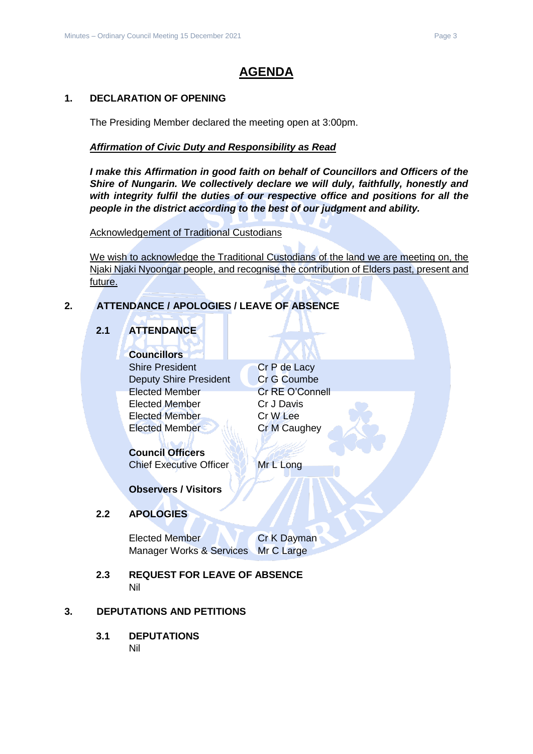# **AGENDA**

### <span id="page-2-0"></span>**1. DECLARATION OF OPENING**

The Presiding Member declared the meeting open at 3:00pm.

#### *Affirmation of Civic Duty and Responsibility as Read*

*I make this Affirmation in good faith on behalf of Councillors and Officers of the Shire of Nungarin. We collectively declare we will duly, faithfully, honestly and with integrity fulfil the duties of our respective office and positions for all the people in the district according to the best of our judgment and ability.*

Acknowledgement of Traditional Custodians

We wish to acknowledge the Traditional Custodians of the land we are meeting on, the Njaki Njaki Nyoongar people, and recognise the contribution of Elders past, present and future.

## <span id="page-2-2"></span><span id="page-2-1"></span>**2. ATTENDANCE / APOLOGIES / LEAVE OF ABSENCE**

## **2.1 ATTENDANCE**

**Councillors** Shire President Cr P de Lacy Deputy Shire President Cr G Coumbe Elected Member Cr RE O'Connell Elected Member Cr J Davis Elected Member Cr W Lee Elected Member Cr M Caughey

## **Council Officers**

Chief Executive Officer Mr L Long

**Observers / Visitors**

## <span id="page-2-3"></span>**2.2 APOLOGIES**

Elected Member **Cr K Dayman** Manager Works & Services Mr C Large

<span id="page-2-4"></span>**2.3 REQUEST FOR LEAVE OF ABSENCE** Nil

## <span id="page-2-6"></span><span id="page-2-5"></span>**3. DEPUTATIONS AND PETITIONS**

**3.1 DEPUTATIONS** Nil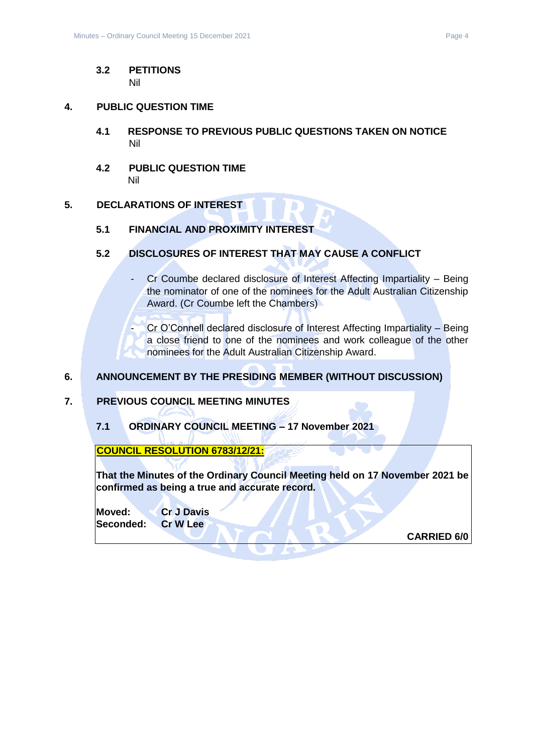#### <span id="page-3-0"></span>**3.2 PETITIONS** Nil

#### <span id="page-3-2"></span><span id="page-3-1"></span>**4. PUBLIC QUESTION TIME**

- **4.1 RESPONSE TO PREVIOUS PUBLIC QUESTIONS TAKEN ON NOTICE** Nil
- <span id="page-3-3"></span>**4.2 PUBLIC QUESTION TIME** Nil

#### <span id="page-3-5"></span><span id="page-3-4"></span>**5. DECLARATIONS OF INTEREST**

#### **5.1 FINANCIAL AND PROXIMITY INTEREST**

- <span id="page-3-6"></span>**5.2 DISCLOSURES OF INTEREST THAT MAY CAUSE A CONFLICT**
	- Cr Coumbe declared disclosure of Interest Affecting Impartiality Being the nominator of one of the nominees for the Adult Australian Citizenship Award. (Cr Coumbe left the Chambers)

- Cr O'Connell declared disclosure of Interest Affecting Impartiality – Being a close friend to one of the nominees and work colleague of the other nominees for the Adult Australian Citizenship Award.

#### <span id="page-3-7"></span>**6. ANNOUNCEMENT BY THE PRESIDING MEMBER (WITHOUT DISCUSSION)**

#### <span id="page-3-9"></span><span id="page-3-8"></span>**7. PREVIOUS COUNCIL MEETING MINUTES**

**7.1 ORDINARY COUNCIL MEETING – 17 November 2021**

**COUNCIL RESOLUTION 6783/12/21:**

**That the Minutes of the Ordinary Council Meeting held on 17 November 2021 be confirmed as being a true and accurate record.**

**Moved: Cr J Davis Seconded: Cr W Lee**

**CARRIED 6/0**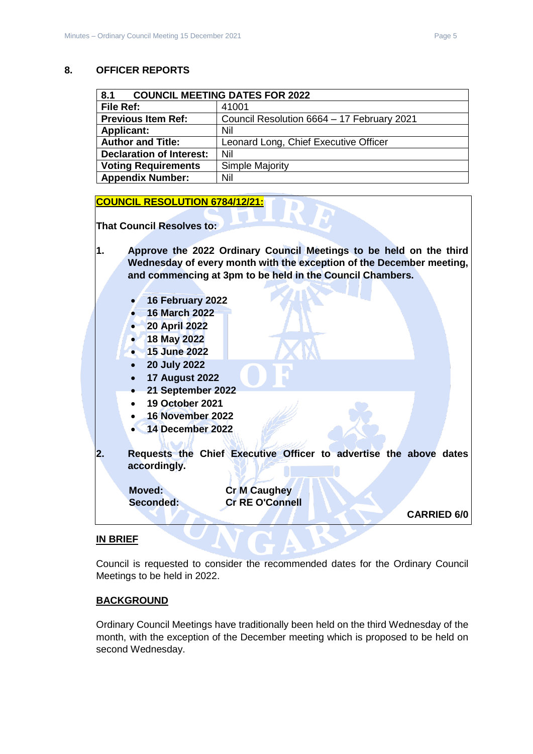#### <span id="page-4-0"></span>**8. OFFICER REPORTS**

<span id="page-4-1"></span>

| <b>COUNCIL MEETING DATES FOR 2022</b><br>8.1 |                                            |
|----------------------------------------------|--------------------------------------------|
| File Ref:                                    | 41001                                      |
| <b>Previous Item Ref:</b>                    | Council Resolution 6664 - 17 February 2021 |
| <b>Applicant:</b>                            | Nil                                        |
| <b>Author and Title:</b>                     | Leonard Long, Chief Executive Officer      |
| <b>Declaration of Interest:</b>              | Nil                                        |
| <b>Voting Requirements</b>                   | Simple Majority                            |
| <b>Appendix Number:</b>                      | Nil                                        |

#### **COUNCIL RESOLUTION 6784/12/21:**

**That Council Resolves to:**

- **1. Approve the 2022 Ordinary Council Meetings to be held on the third Wednesday of every month with the exception of the December meeting, and commencing at 3pm to be held in the Council Chambers.**
	- **16 February 2022**
	- **16 March 2022**
	- **20 April 2022**
	- **18 May 2022**
	- **15 June 2022**
	- **20 July 2022**
	- **17 August 2022**
	- **21 September 2022**
	- **19 October 2021**
	- **16 November 2022**
	- **14 December 2022**
- **2. Requests the Chief Executive Officer to advertise the above dates accordingly.**

**Moved: Cr M Caughey**

**Seconded: Cr RE O'Connell**

**CARRIED 6/0**

#### **IN BRIEF**

Council is requested to consider the recommended dates for the Ordinary Council Meetings to be held in 2022.

#### **BACKGROUND**

Ordinary Council Meetings have traditionally been held on the third Wednesday of the month, with the exception of the December meeting which is proposed to be held on second Wednesday.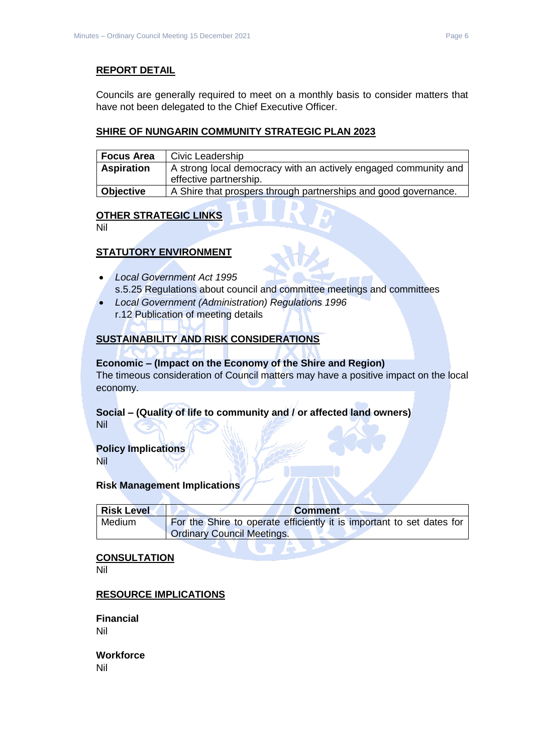### **REPORT DETAIL**

Councils are generally required to meet on a monthly basis to consider matters that have not been delegated to the Chief Executive Officer.

#### **SHIRE OF NUNGARIN COMMUNITY STRATEGIC PLAN 2023**

| Focus Area        | Civic Leadership                                                                          |
|-------------------|-------------------------------------------------------------------------------------------|
| <b>Aspiration</b> | A strong local democracy with an actively engaged community and<br>effective partnership. |
| Objective         | A Shire that prospers through partnerships and good governance.                           |

## **OTHER STRATEGIC LINKS**

Nil

### **STATUTORY ENVIRONMENT**

- *Local Government Act 1995* s.5.25 Regulations about council and committee meetings and committees
- *Local Government (Administration) Regulations 1996* r.12 Publication of meeting details

## **SUSTAINABILITY AND RISK CONSIDERATIONS**

#### **Economic – (Impact on the Economy of the Shire and Region)**

The timeous consideration of Council matters may have a positive impact on the local economy.

# **Social – (Quality of life to community and / or affected land owners)**

Nil

## **Policy Implications**

Nil

#### **Risk Management Implications**

| <b>Risk Level</b> | <b>Comment</b>                                                        |
|-------------------|-----------------------------------------------------------------------|
| Medium            | For the Shire to operate efficiently it is important to set dates for |
|                   | <b>Ordinary Council Meetings.</b>                                     |

**TENDENT** 

#### **CONSULTATION**

Nil

#### **RESOURCE IMPLICATIONS**

**Financial** Nil

**Workforce** Nil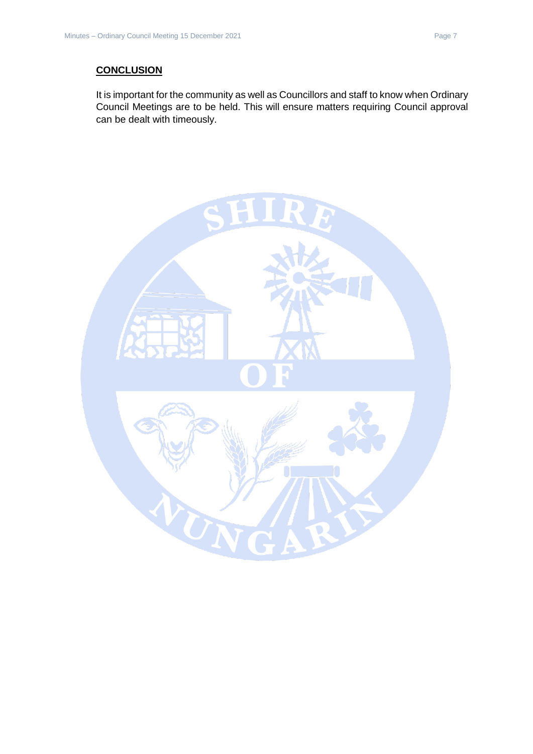## **CONCLUSION**

It is important for the community as well as Councillors and staff to know when Ordinary Council Meetings are to be held. This will ensure matters requiring Council approval can be dealt with timeously.

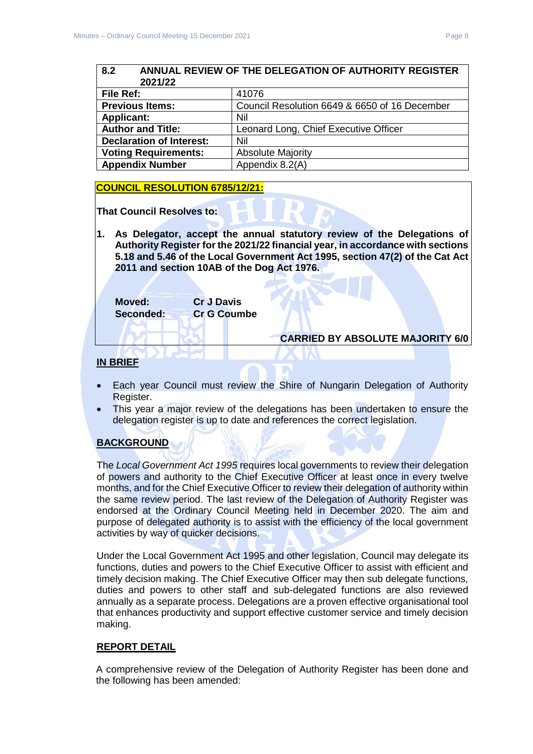<span id="page-7-1"></span><span id="page-7-0"></span>

| 8.2<br>ANNUAL REVIEW OF THE DELEGATION OF AUTHORITY REGISTER<br>2021/22 |                                               |
|-------------------------------------------------------------------------|-----------------------------------------------|
| File Ref:                                                               | 41076                                         |
| <b>Previous Items:</b>                                                  | Council Resolution 6649 & 6650 of 16 December |
| <b>Applicant:</b>                                                       | Nil                                           |
| <b>Author and Title:</b>                                                | Leonard Long, Chief Executive Officer         |
| <b>Declaration of Interest:</b>                                         | Nil                                           |
| <b>Voting Requirements:</b>                                             | <b>Absolute Majority</b>                      |
| <b>Appendix Number</b>                                                  | Appendix 8.2(A)                               |

### **COUNCIL RESOLUTION 6785/12/21:**

**That Council Resolves to:**

**1. As Delegator, accept the annual statutory review of the Delegations of Authority Register for the 2021/22 financial year, in accordance with sections 5.18 and 5.46 of the Local Government Act 1995, section 47(2) of the Cat Act 2011 and section 10AB of the Dog Act 1976.**

**Moved: Cr J Davis Seconded: Cr G Coumbe**

### **CARRIED BY ABSOLUTE MAJORITY 6/0**

#### **IN BRIEF**

- Each year Council must review the Shire of Nungarin Delegation of Authority Register.
- This year a major review of the delegations has been undertaken to ensure the delegation register is up to date and references the correct legislation.

## **BACKGROUND**

The *Local Government Act 1995* requires local governments to review their delegation of powers and authority to the Chief Executive Officer at least once in every twelve months, and for the Chief Executive Officer to review their delegation of authority within the same review period. The last review of the Delegation of Authority Register was endorsed at the Ordinary Council Meeting held in December 2020. The aim and purpose of delegated authority is to assist with the efficiency of the local government activities by way of quicker decisions.

Under the Local Government Act 1995 and other legislation, Council may delegate its functions, duties and powers to the Chief Executive Officer to assist with efficient and timely decision making. The Chief Executive Officer may then sub delegate functions, duties and powers to other staff and sub-delegated functions are also reviewed annually as a separate process. Delegations are a proven effective organisational tool that enhances productivity and support effective customer service and timely decision making.

#### **REPORT DETAIL**

A comprehensive review of the Delegation of Authority Register has been done and the following has been amended: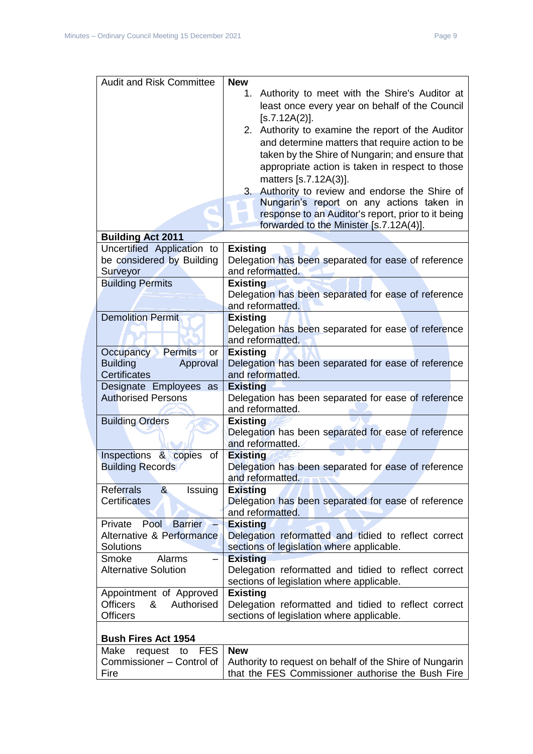| <b>Audit and Risk Committee</b>               | <b>New</b>                                                              |
|-----------------------------------------------|-------------------------------------------------------------------------|
|                                               | Authority to meet with the Shire's Auditor at<br>1.                     |
|                                               | least once every year on behalf of the Council                          |
|                                               | [s.7.12A(2)].                                                           |
|                                               | 2. Authority to examine the report of the Auditor                       |
|                                               | and determine matters that require action to be                         |
|                                               | taken by the Shire of Nungarin; and ensure that                         |
|                                               | appropriate action is taken in respect to those                         |
|                                               | matters [s.7.12A(3)].                                                   |
|                                               | Authority to review and endorse the Shire of<br>3.                      |
|                                               | Nungarin's report on any actions taken in                               |
|                                               | response to an Auditor's report, prior to it being                      |
|                                               | forwarded to the Minister [s.7.12A(4)].                                 |
| <b>Building Act 2011</b>                      |                                                                         |
| Uncertified Application to                    | <b>Existing</b>                                                         |
| be considered by Building                     | Delegation has been separated for ease of reference                     |
| Surveyor                                      | and reformatted.                                                        |
| <b>Building Permits</b>                       | <b>Existing</b>                                                         |
|                                               | Delegation has been separated for ease of reference                     |
| <b>Demolition Permit</b>                      | and reformatted.<br><b>Existing</b>                                     |
|                                               | Delegation has been separated for ease of reference                     |
|                                               | and reformatted.                                                        |
| Occupancy Permits<br>or                       | <b>Existing</b>                                                         |
| <b>Building</b><br>Approval                   | Delegation has been separated for ease of reference                     |
| <b>Certificates</b>                           | and reformatted.                                                        |
| Designate Employees as                        | <b>Existing</b>                                                         |
| <b>Authorised Persons</b>                     | Delegation has been separated for ease of reference                     |
|                                               | and reformatted.                                                        |
| <b>Building Orders</b>                        | <b>Existing</b>                                                         |
|                                               | Delegation has been separated for ease of reference                     |
|                                               | and reformatted.                                                        |
| Inspections & copies of                       | <b>Existing</b>                                                         |
| <b>Building Records</b>                       | Delegation has been separated for ease of reference<br>and reformatted. |
| <b>Referrals</b><br>8 <sub>k</sub><br>Issuing | <b>Existing</b>                                                         |
| <b>Certificates</b>                           | Delegation has been separated for ease of reference                     |
|                                               | and reformatted.                                                        |
| Private<br>Pool<br><b>Barrier</b>             | <b>Existing</b>                                                         |
| Alternative & Performance                     | Delegation reformatted and tidied to reflect correct                    |
| Solutions                                     | sections of legislation where applicable.                               |
| Alarms<br>Smoke                               | <b>Existing</b>                                                         |
| <b>Alternative Solution</b>                   | Delegation reformatted and tidied to reflect correct                    |
|                                               | sections of legislation where applicable.                               |
| Appointment of Approved                       | <b>Existing</b>                                                         |
| &<br><b>Officers</b><br>Authorised            | Delegation reformatted and tidied to reflect correct                    |
| <b>Officers</b>                               | sections of legislation where applicable.                               |
| <b>Bush Fires Act 1954</b>                    |                                                                         |
| Make<br><b>FES</b><br>request<br>to           | <b>New</b>                                                              |
| Commissioner - Control of                     | Authority to request on behalf of the Shire of Nungarin                 |
| Fire                                          | that the FES Commissioner authorise the Bush Fire                       |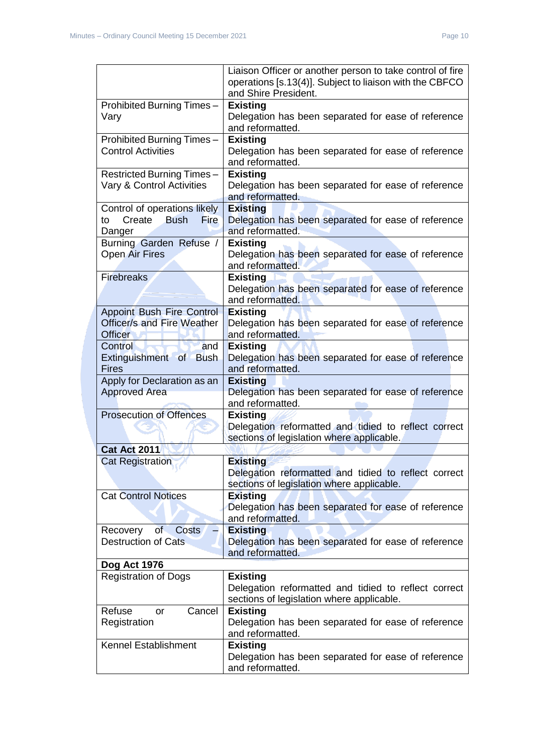|                                                                                         | Liaison Officer or another person to take control of fire<br>operations [s.13(4)]. Subject to liaison with the CBFCO<br>and Shire President. |  |
|-----------------------------------------------------------------------------------------|----------------------------------------------------------------------------------------------------------------------------------------------|--|
| Prohibited Burning Times-<br>Vary                                                       | <b>Existing</b><br>Delegation has been separated for ease of reference<br>and reformatted.                                                   |  |
| Prohibited Burning Times-<br><b>Control Activities</b>                                  | <b>Existing</b><br>Delegation has been separated for ease of reference<br>and reformatted.                                                   |  |
| Restricted Burning Times-<br>Vary & Control Activities                                  | <b>Existing</b><br>Delegation has been separated for ease of reference<br>and reformatted.                                                   |  |
| Control of operations likely<br><b>Bush</b><br><b>Fire</b><br>Create<br>to<br>Danger    | <b>Existing</b><br>Delegation has been separated for ease of reference<br>and reformatted.                                                   |  |
| Burning Garden Refuse /<br><b>Open Air Fires</b>                                        | <b>Existing</b><br>Delegation has been separated for ease of reference<br>and reformatted.                                                   |  |
| <b>Firebreaks</b>                                                                       | <b>Existing</b><br>Delegation has been separated for ease of reference<br>and reformatted.                                                   |  |
| <b>Appoint Bush Fire Control</b><br><b>Officer/s and Fire Weather</b><br><b>Officer</b> | <b>Existing</b><br>Delegation has been separated for ease of reference<br>and reformatted.                                                   |  |
| Control<br>and<br>Extinguishment of Bush<br><b>Fires</b>                                | <b>Existing</b><br>Delegation has been separated for ease of reference<br>and reformatted.                                                   |  |
| Apply for Declaration as an<br><b>Approved Area</b>                                     | <b>Existing</b><br>Delegation has been separated for ease of reference<br>and reformatted.                                                   |  |
| <b>Prosecution of Offences</b>                                                          | <b>Existing</b><br>Delegation reformatted and tidied to reflect correct<br>sections of legislation where applicable.                         |  |
| <b>Cat Act 2011</b>                                                                     |                                                                                                                                              |  |
| <b>Cat Registration</b>                                                                 | <b>Existing</b><br>Delegation reformatted and tidied to reflect correct<br>sections of legislation where applicable.                         |  |
| <b>Cat Control Notices</b>                                                              | <b>Existing</b><br>Delegation has been separated for ease of reference<br>and reformatted.                                                   |  |
| of<br><b>Costs</b><br>Recovery<br><b>Destruction of Cats</b>                            | <b>Existing</b><br>Delegation has been separated for ease of reference<br>and reformatted.                                                   |  |
| Dog Act 1976                                                                            |                                                                                                                                              |  |
| <b>Registration of Dogs</b>                                                             | <b>Existing</b><br>Delegation reformatted and tidied to reflect correct<br>sections of legislation where applicable.                         |  |
| Refuse<br>Cancel<br>or<br>Registration                                                  | <b>Existing</b><br>Delegation has been separated for ease of reference<br>and reformatted.                                                   |  |
| Kennel Establishment                                                                    | <b>Existing</b><br>Delegation has been separated for ease of reference<br>and reformatted.                                                   |  |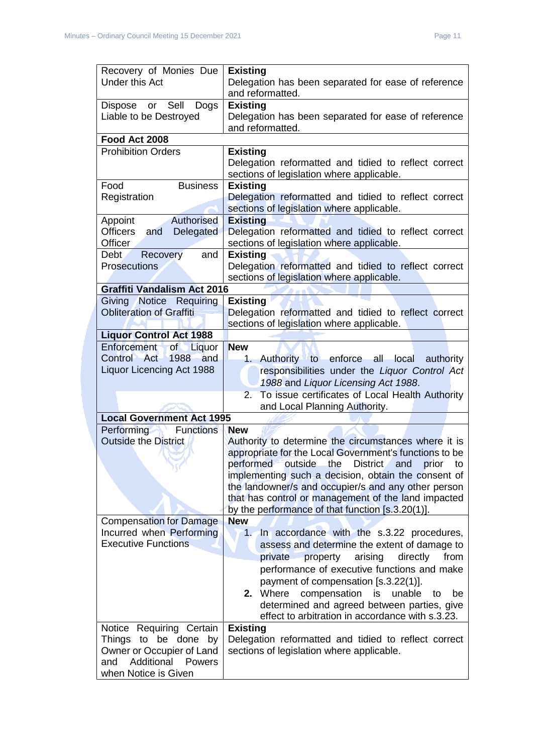| Recovery of Monies Due                           | <b>Existing</b>                                                                                    |
|--------------------------------------------------|----------------------------------------------------------------------------------------------------|
| <b>Under this Act</b>                            | Delegation has been separated for ease of reference<br>and reformatted.                            |
| Dispose or Sell<br>Dogs                          | <b>Existing</b>                                                                                    |
| Liable to be Destroyed                           | Delegation has been separated for ease of reference                                                |
|                                                  | and reformatted.                                                                                   |
| Food Act 2008                                    |                                                                                                    |
| <b>Prohibition Orders</b>                        | <b>Existing</b>                                                                                    |
|                                                  | Delegation reformatted and tidied to reflect correct<br>sections of legislation where applicable.  |
| Food<br><b>Business</b>                          | <b>Existing</b>                                                                                    |
| Registration                                     | Delegation reformatted and tidied to reflect correct                                               |
|                                                  | sections of legislation where applicable.                                                          |
| Authorised<br>Appoint                            | <b>Existing</b>                                                                                    |
| Officers<br>Delegated<br>and                     | Delegation reformatted and tidied to reflect correct                                               |
| Officer                                          | sections of legislation where applicable.                                                          |
| <b>Debt</b><br>Recovery<br>and                   | <b>Existing</b>                                                                                    |
| <b>Prosecutions</b>                              | Delegation reformatted and tidied to reflect correct                                               |
|                                                  | sections of legislation where applicable.                                                          |
| <b>Graffiti Vandalism Act 2016</b>               |                                                                                                    |
| Giving Notice Requiring                          | <b>Existing</b>                                                                                    |
| <b>Obliteration of Graffiti</b>                  | Delegation reformatted and tidied to reflect correct<br>sections of legislation where applicable.  |
| <b>Liquor Control Act 1988</b>                   |                                                                                                    |
| Enforcement<br>of<br>Liquor                      | <b>New</b>                                                                                         |
| Control Act<br>1988 and                          | Authority to enforce all local authority<br>1.                                                     |
| Liquor Licencing Act 1988                        | responsibilities under the Liquor Control Act                                                      |
|                                                  | 1988 and Liquor Licensing Act 1988.                                                                |
|                                                  | To issue certificates of Local Health Authority<br>2.                                              |
|                                                  | and Local Planning Authority.                                                                      |
| <b>Local Government Act 1995</b>                 |                                                                                                    |
| <b>Performing</b><br><b>Functions</b>            | <b>New</b>                                                                                         |
| <b>Outside the District</b>                      | Authority to determine the circumstances where it is                                               |
|                                                  | appropriate for the Local Government's functions to be                                             |
|                                                  | performed outside the District and prior to<br>implementing such a decision, obtain the consent of |
|                                                  | the landowner/s and occupier/s and any other person                                                |
|                                                  | that has control or management of the land impacted                                                |
|                                                  | by the performance of that function [s.3.20(1)].                                                   |
| <b>Compensation for Damage</b>                   | <b>New</b>                                                                                         |
| Incurred when Performing                         | 1. In accordance with the s.3.22 procedures,                                                       |
| <b>Executive Functions</b>                       | assess and determine the extent of damage to                                                       |
|                                                  | private<br>property<br>arising<br>directly<br>from                                                 |
|                                                  | performance of executive functions and make                                                        |
|                                                  | payment of compensation [s.3.22(1)].                                                               |
|                                                  | compensation<br>2. Where<br>is<br>unable<br>be<br>to                                               |
|                                                  | determined and agreed between parties, give                                                        |
|                                                  | effect to arbitration in accordance with s.3.23.                                                   |
| Notice Requiring Certain<br>Things to be done by | <b>Existing</b><br>Delegation reformatted and tidied to reflect correct                            |
| Owner or Occupier of Land                        | sections of legislation where applicable.                                                          |
| Additional<br>and<br>Powers                      |                                                                                                    |
| when Notice is Given                             |                                                                                                    |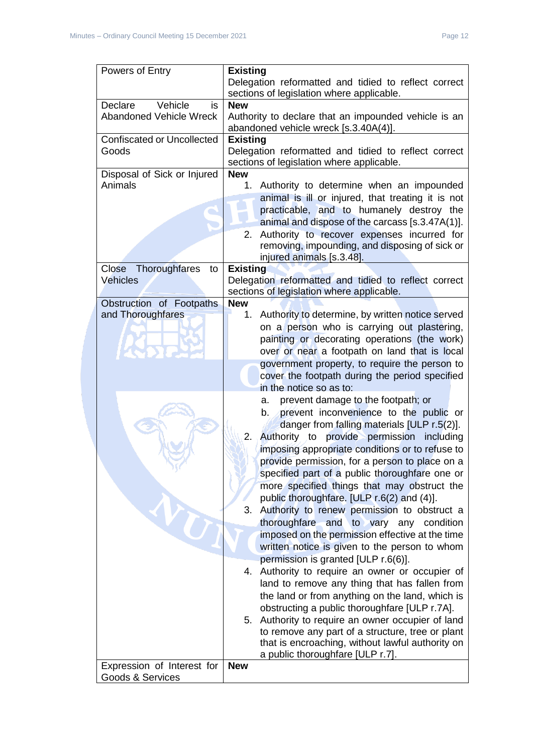| Powers of Entry                   | <b>Existing</b>                                        |
|-----------------------------------|--------------------------------------------------------|
|                                   | Delegation reformatted and tidied to reflect correct   |
|                                   | sections of legislation where applicable.              |
| Vehicle<br>Declare<br>is          | <b>New</b>                                             |
|                                   |                                                        |
| Abandoned Vehicle Wreck           | Authority to declare that an impounded vehicle is an   |
|                                   | abandoned vehicle wreck [s.3.40A(4)].                  |
| <b>Confiscated or Uncollected</b> | <b>Existing</b>                                        |
| Goods                             | Delegation reformatted and tidied to reflect correct   |
|                                   | sections of legislation where applicable.              |
| Disposal of Sick or Injured       | <b>New</b>                                             |
| Animals                           | Authority to determine when an impounded<br>1.         |
|                                   | animal is ill or injured, that treating it is not      |
|                                   | practicable, and to humanely destroy the               |
|                                   | animal and dispose of the carcass [s.3.47A(1)].        |
|                                   | Authority to recover expenses incurred for<br>2.       |
|                                   |                                                        |
|                                   | removing, impounding, and disposing of sick or         |
|                                   | injured animals [s.3.48].                              |
| Close Thoroughfares<br>to         | <b>Existing</b>                                        |
| Vehicles                          | Delegation reformatted and tidied to reflect correct   |
|                                   | sections of legislation where applicable.              |
| Obstruction of Footpaths          | <b>New</b>                                             |
| and Thoroughfares                 | Authority to determine, by written notice served<br>1. |
|                                   | on a person who is carrying out plastering,            |
|                                   | painting or decorating operations (the work)           |
|                                   | over or near a footpath on land that is local          |
|                                   | government property, to require the person to          |
|                                   | cover the footpath during the period specified         |
|                                   | in the notice so as to:                                |
|                                   | prevent damage to the footpath; or<br>а.               |
|                                   |                                                        |
|                                   | prevent inconvenience to the public or<br>b.           |
|                                   | danger from falling materials [ULP r.5(2)].            |
|                                   | 2.<br>Authority to provide permission including        |
|                                   | imposing appropriate conditions or to refuse to        |
|                                   | provide permission, for a person to place on a         |
|                                   | specified part of a public thoroughfare one or         |
|                                   | more specified things that may obstruct the            |
|                                   | public thoroughfare. [ULP r.6(2) and (4)].             |
|                                   | Authority to renew permission to obstruct a<br>3.      |
|                                   |                                                        |
|                                   | thoroughfare and to vary any condition                 |
|                                   | imposed on the permission effective at the time        |
|                                   | written notice is given to the person to whom          |
|                                   | permission is granted [ULP r.6(6)].                    |
|                                   | 4. Authority to require an owner or occupier of        |
|                                   | land to remove any thing that has fallen from          |
|                                   | the land or from anything on the land, which is        |
|                                   | obstructing a public thoroughfare [ULP r.7A].          |
|                                   | Authority to require an owner occupier of land<br>5.   |
|                                   | to remove any part of a structure, tree or plant       |
|                                   |                                                        |
|                                   | that is encroaching, without lawful authority on       |
|                                   | a public thoroughfare [ULP r.7].                       |
| Expression of Interest for        | <b>New</b>                                             |
| Goods & Services                  |                                                        |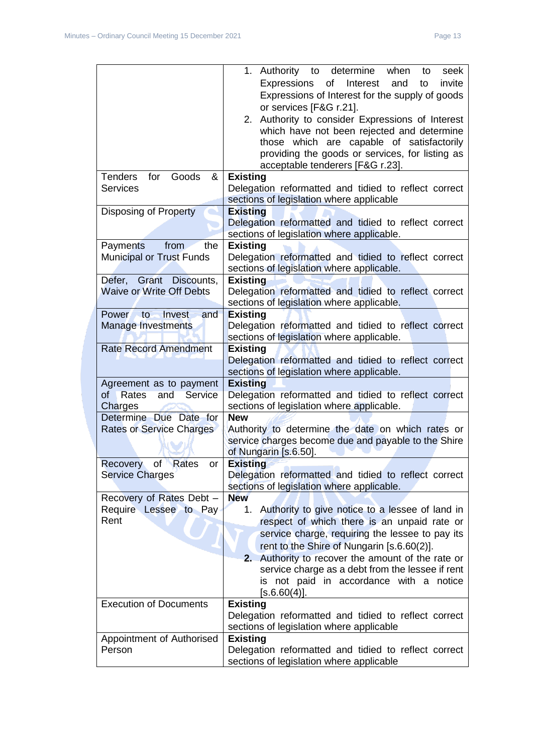|                                             | 1. Authority to determine when<br>to<br>seek         |
|---------------------------------------------|------------------------------------------------------|
|                                             | of<br>Interest<br>Expressions<br>invite<br>and<br>to |
|                                             | Expressions of Interest for the supply of goods      |
|                                             | or services [F&G r.21].                              |
|                                             | 2. Authority to consider Expressions of Interest     |
|                                             | which have not been rejected and determine           |
|                                             | those which are capable of satisfactorily            |
|                                             | providing the goods or services, for listing as      |
|                                             | acceptable tenderers [F&G r.23].                     |
| <b>Tenders</b><br>Goods<br>&<br>for         | <b>Existing</b>                                      |
| <b>Services</b>                             | Delegation reformatted and tidied to reflect correct |
|                                             | sections of legislation where applicable             |
| <b>Disposing of Property</b>                | <b>Existing</b>                                      |
|                                             | Delegation reformatted and tidied to reflect correct |
|                                             | sections of legislation where applicable.            |
| <b>Payments</b><br>from<br>the              | <b>Existing</b>                                      |
| <b>Municipal or Trust Funds</b>             | Delegation reformatted and tidied to reflect correct |
|                                             | sections of legislation where applicable.            |
| Defer, Grant Discounts,                     | <b>Existing</b>                                      |
| <b>Waive or Write Off Debts</b>             | Delegation reformatted and tidied to reflect correct |
|                                             | sections of legislation where applicable.            |
| Power to Invest<br>and                      | <b>Existing</b>                                      |
| Manage Investments                          | Delegation reformatted and tidied to reflect correct |
|                                             | sections of legislation where applicable.            |
| <b>Rate Record Amendment</b>                | <b>Existing</b>                                      |
|                                             | Delegation reformatted and tidied to reflect correct |
|                                             | sections of legislation where applicable.            |
| Agreement as to payment                     | <b>Existing</b>                                      |
| <b>Rates</b><br><b>Service</b><br>of<br>and | Delegation reformatted and tidied to reflect correct |
| Charges                                     | sections of legislation where applicable.            |
| Determine Due Date for                      | <b>New</b>                                           |
| <b>Rates or Service Charges</b>             | Authority to determine the date on which rates or    |
|                                             | service charges become due and payable to the Shire  |
| Recovery of Rates or                        | of Nungarin [s.6.50].<br><b>Existing</b>             |
| Service Charges                             | Delegation reformatted and tidied to reflect correct |
|                                             | sections of legislation where applicable.            |
| Recovery of Rates Debt -                    | <b>New</b>                                           |
| Require Lessee to Pay                       | 1. Authority to give notice to a lessee of land in   |
| Rent                                        | respect of which there is an unpaid rate or          |
|                                             | service charge, requiring the lessee to pay its      |
|                                             | rent to the Shire of Nungarin [s.6.60(2)].           |
|                                             | Authority to recover the amount of the rate or<br>2. |
|                                             | service charge as a debt from the lessee if rent     |
|                                             | is not paid in accordance with a notice              |
|                                             | $[$ s.6.60 $(4)$ ].                                  |
| <b>Execution of Documents</b>               | <b>Existing</b>                                      |
|                                             | Delegation reformatted and tidied to reflect correct |
|                                             | sections of legislation where applicable             |
| Appointment of Authorised                   | <b>Existing</b>                                      |
| Person                                      | Delegation reformatted and tidied to reflect correct |
|                                             | sections of legislation where applicable             |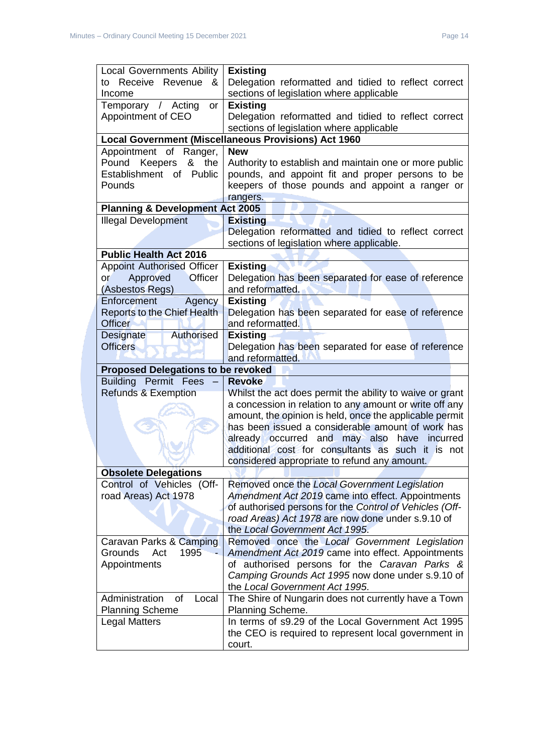| <b>Local Governments Ability</b>           | <b>Existing</b>                                             |  |
|--------------------------------------------|-------------------------------------------------------------|--|
| to Receive Revenue<br>&                    | Delegation reformatted and tidied to reflect correct        |  |
| Income                                     | sections of legislation where applicable                    |  |
|                                            |                                                             |  |
| Temporary / Acting<br><b>or</b>            | <b>Existing</b>                                             |  |
| Appointment of CEO                         | Delegation reformatted and tidied to reflect correct        |  |
|                                            | sections of legislation where applicable                    |  |
|                                            | <b>Local Government (Miscellaneous Provisions) Act 1960</b> |  |
| Appointment of<br>Ranger,                  | <b>New</b>                                                  |  |
| &<br>Pound<br>Keepers<br>the               | Authority to establish and maintain one or more public      |  |
| Establishment of<br>Public                 | pounds, and appoint fit and proper persons to be            |  |
| Pounds                                     | keepers of those pounds and appoint a ranger or             |  |
|                                            | rangers.                                                    |  |
| <b>Planning &amp; Development Act 2005</b> |                                                             |  |
| <b>Illegal Development</b>                 | <b>Existing</b>                                             |  |
|                                            | Delegation reformatted and tidied to reflect correct        |  |
|                                            | sections of legislation where applicable.                   |  |
| <b>Public Health Act 2016</b>              |                                                             |  |
| <b>Appoint Authorised Officer</b>          | <b>Existing</b>                                             |  |
| Approved<br><b>Officer</b><br>or           | Delegation has been separated for ease of reference         |  |
| (Asbestos Regs)                            | and reformatted.                                            |  |
| Enforcement<br>Agency                      | <b>Existing</b>                                             |  |
| <b>Reports to the Chief Health</b>         | Delegation has been separated for ease of reference         |  |
| <b>Officer</b>                             | and reformatted.                                            |  |
| Authorised<br>Designate                    | <b>Existing</b>                                             |  |
| <b>Officers</b>                            | Delegation has been separated for ease of reference         |  |
|                                            |                                                             |  |
| and reformatted.                           |                                                             |  |
|                                            |                                                             |  |
| <b>Proposed Delegations to be revoked</b>  |                                                             |  |
| <b>Building Permit Fees</b>                | <b>Revoke</b>                                               |  |
| <b>Refunds &amp; Exemption</b>             | Whilst the act does permit the ability to waive or grant    |  |
|                                            | a concession in relation to any amount or write off any     |  |
|                                            | amount, the opinion is held, once the applicable permit     |  |
|                                            | has been issued a considerable amount of work has           |  |
|                                            | already occurred and may also have<br>incurred              |  |
|                                            | additional cost for consultants as such it is not           |  |
|                                            | considered appropriate to refund any amount.                |  |
| <b>Obsolete Delegations</b>                |                                                             |  |
| Control of Vehicles (Off-                  | Removed once the Local Government Legislation               |  |
| road Areas) Act 1978                       | Amendment Act 2019 came into effect. Appointments           |  |
|                                            | of authorised persons for the Control of Vehicles (Off-     |  |
|                                            | road Areas) Act 1978 are now done under s.9.10 of           |  |
|                                            | the Local Government Act 1995.                              |  |
| Caravan Parks & Camping                    | Removed once the Local Government Legislation               |  |
| 1995<br>Grounds<br>Act                     | Amendment Act 2019 came into effect. Appointments           |  |
| Appointments                               | of authorised persons for the Caravan Parks &               |  |
|                                            | Camping Grounds Act 1995 now done under s.9.10 of           |  |
|                                            | the Local Government Act 1995.                              |  |
| Administration<br><b>of</b><br>Local       | The Shire of Nungarin does not currently have a Town        |  |
| <b>Planning Scheme</b>                     | Planning Scheme.                                            |  |
| <b>Legal Matters</b>                       | In terms of s9.29 of the Local Government Act 1995          |  |
|                                            | the CEO is required to represent local government in        |  |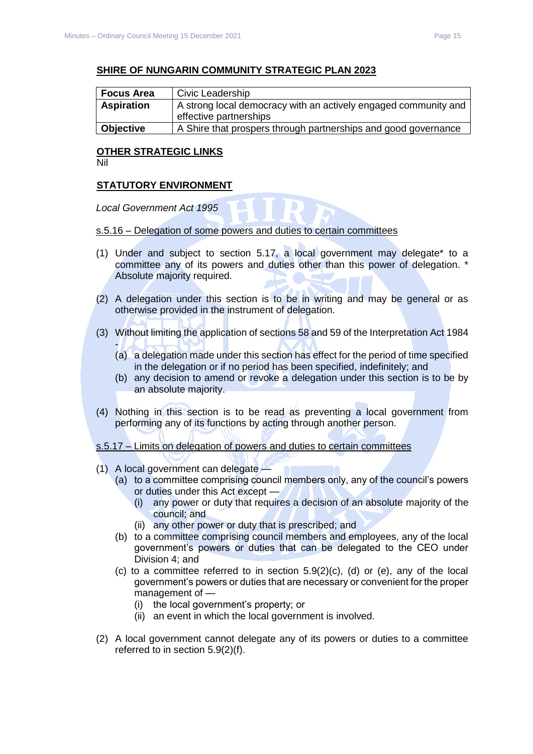#### **SHIRE OF NUNGARIN COMMUNITY STRATEGIC PLAN 2023**

| <b>Focus Area</b>                                                                    | Civic Leadership                                               |  |
|--------------------------------------------------------------------------------------|----------------------------------------------------------------|--|
| <b>Aspiration</b><br>A strong local democracy with an actively engaged community and |                                                                |  |
|                                                                                      | effective partnerships                                         |  |
| <b>Objective</b>                                                                     | A Shire that prospers through partnerships and good governance |  |

## **OTHER STRATEGIC LINKS**

Nil

#### **STATUTORY ENVIRONMENT**

*Local Government Act 1995* 

#### s.5.16 – Delegation of some powers and duties to certain committees

- (1) Under and subject to section 5.17, a local government may delegate\* to a committee any of its powers and duties other than this power of delegation. \* Absolute majority required.
- (2) A delegation under this section is to be in writing and may be general or as otherwise provided in the instrument of delegation.
- (3) Without limiting the application of sections 58 and 59 of the Interpretation Act 1984
	- (a) a delegation made under this section has effect for the period of time specified in the delegation or if no period has been specified, indefinitely; and
	- (b) any decision to amend or revoke a delegation under this section is to be by an absolute majority.
- (4) Nothing in this section is to be read as preventing a local government from performing any of its functions by acting through another person.

s.5.17 – Limits on delegation of powers and duties to certain committees

- (1) A local government can delegate
	- (a) to a committee comprising council members only, any of the council's powers or duties under this Act except —
		- (i) any power or duty that requires a decision of an absolute majority of the council; and
		- (ii) any other power or duty that is prescribed; and
	- (b) to a committee comprising council members and employees, any of the local government's powers or duties that can be delegated to the CEO under Division 4; and
	- (c) to a committee referred to in section 5.9(2)(c), (d) or (e), any of the local government's powers or duties that are necessary or convenient for the proper management of —
		- (i) the local government's property; or
		- (ii) an event in which the local government is involved.
- (2) A local government cannot delegate any of its powers or duties to a committee referred to in section 5.9(2)(f).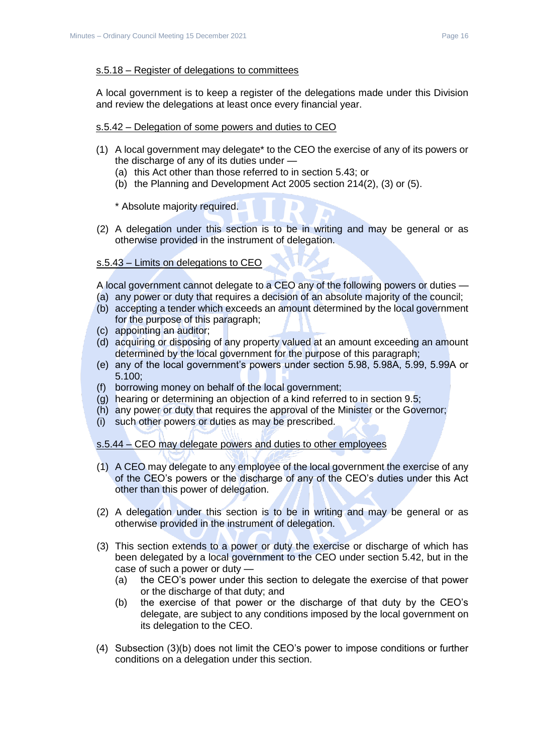#### s.5.18 – Register of delegations to committees

A local government is to keep a register of the delegations made under this Division and review the delegations at least once every financial year.

#### s.5.42 – Delegation of some powers and duties to CEO

- (1) A local government may delegate\* to the CEO the exercise of any of its powers or the discharge of any of its duties under —
	- (a) this Act other than those referred to in section 5.43; or
	- (b) the Planning and Development Act 2005 section 214(2), (3) or (5).

\* Absolute majority required.

(2) A delegation under this section is to be in writing and may be general or as otherwise provided in the instrument of delegation.

#### s.5.43 – Limits on delegations to CEO

A local government cannot delegate to a CEO any of the following powers or duties —

- (a) any power or duty that requires a decision of an absolute majority of the council;
- (b) accepting a tender which exceeds an amount determined by the local government for the purpose of this paragraph;
- (c) appointing an auditor;
- (d) acquiring or disposing of any property valued at an amount exceeding an amount determined by the local government for the purpose of this paragraph;
- (e) any of the local government's powers under section 5.98, 5.98A, 5.99, 5.99A or 5.100;
- (f) borrowing money on behalf of the local government;
- (g) hearing or determining an objection of a kind referred to in section 9.5;
- (h) any power or duty that requires the approval of the Minister or the Governor;
- (i) such other powers or duties as may be prescribed.

#### s.5.44 – CEO may delegate powers and duties to other employees

- (1) A CEO may delegate to any employee of the local government the exercise of any of the CEO's powers or the discharge of any of the CEO's duties under this Act other than this power of delegation.
- (2) A delegation under this section is to be in writing and may be general or as otherwise provided in the instrument of delegation.
- (3) This section extends to a power or duty the exercise or discharge of which has been delegated by a local government to the CEO under section 5.42, but in the case of such a power or duty —
	- (a) the CEO's power under this section to delegate the exercise of that power or the discharge of that duty; and
	- (b) the exercise of that power or the discharge of that duty by the CEO's delegate, are subject to any conditions imposed by the local government on its delegation to the CEO.
- (4) Subsection (3)(b) does not limit the CEO's power to impose conditions or further conditions on a delegation under this section.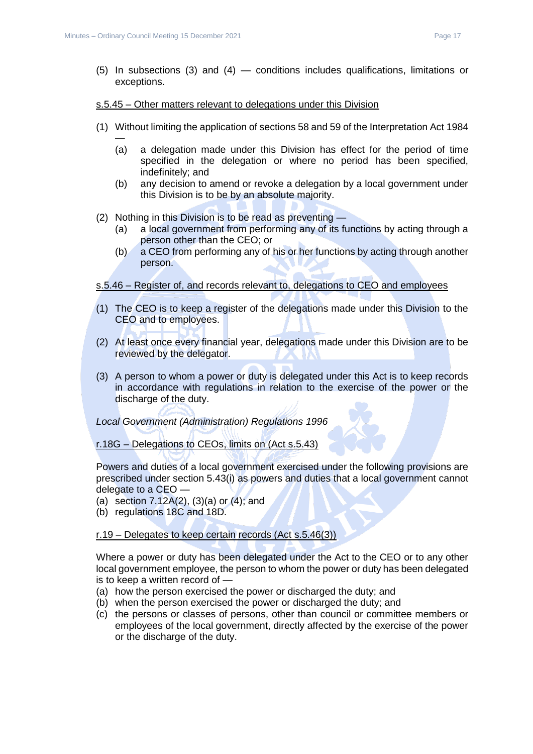- (5) In subsections (3) and (4) conditions includes qualifications, limitations or exceptions.
- s.5.45 Other matters relevant to delegations under this Division
- (1) Without limiting the application of sections 58 and 59 of the Interpretation Act 1984
	- (a) a delegation made under this Division has effect for the period of time specified in the delegation or where no period has been specified, indefinitely; and
	- (b) any decision to amend or revoke a delegation by a local government under this Division is to be by an absolute majority.
- (2) Nothing in this Division is to be read as preventing
	- (a) a local government from performing any of its functions by acting through a person other than the CEO; or
	- (b) a CEO from performing any of his or her functions by acting through another person.

#### s.5.46 – Register of, and records relevant to, delegations to CEO and employees

- (1) The CEO is to keep a register of the delegations made under this Division to the CEO and to employees.
- (2) At least once every financial year, delegations made under this Division are to be reviewed by the delegator.
- (3) A person to whom a power or duty is delegated under this Act is to keep records in accordance with regulations in relation to the exercise of the power or the discharge of the duty.

#### *Local Government (Administration) Regulations 1996*

#### r.18G – Delegations to CEOs, limits on (Act s.5.43)

Powers and duties of a local government exercised under the following provisions are prescribed under section 5.43(i) as powers and duties that a local government cannot delegate to a CEO —

- (a) section 7.12A(2), (3)(a) or (4); and
- (b) regulations 18C and 18D.

#### r.19 – Delegates to keep certain records (Act s.5.46(3))

Where a power or duty has been delegated under the Act to the CEO or to any other local government employee, the person to whom the power or duty has been delegated is to keep a written record of —

- (a) how the person exercised the power or discharged the duty; and
- (b) when the person exercised the power or discharged the duty; and
- (c) the persons or classes of persons, other than council or committee members or employees of the local government, directly affected by the exercise of the power or the discharge of the duty.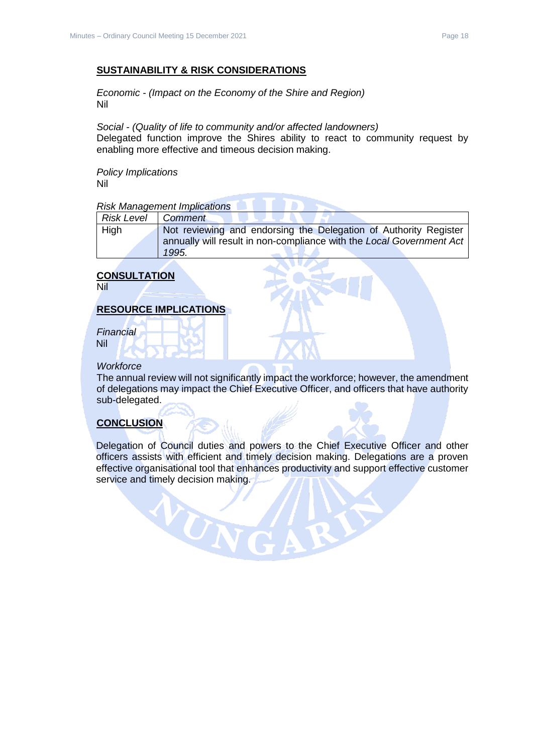#### **SUSTAINABILITY & RISK CONSIDERATIONS**

*Economic - (Impact on the Economy of the Shire and Region)* Nil

*Social - (Quality of life to community and/or affected landowners)* Delegated function improve the Shires ability to react to community request by enabling more effective and timeous decision making.

*Policy Implications* Nil

#### *Risk Management Implications*

| Risk Level  | Comment                                                              |
|-------------|----------------------------------------------------------------------|
| <b>High</b> | Not reviewing and endorsing the Delegation of Authority Register     |
|             | annually will result in non-compliance with the Local Government Act |
|             | 1995.                                                                |

**CONTRACTOR** 

## **CONSULTATION**

Nil

#### **RESOURCE IMPLICATIONS**

*Financial* Nil

#### *Workforce*

The annual review will not significantly impact the workforce; however, the amendment of delegations may impact the Chief Executive Officer, and officers that have authority sub-delegated.

#### **CONCLUSION**

Delegation of Council duties and powers to the Chief Executive Officer and other officers assists with efficient and timely decision making. Delegations are a proven effective organisational tool that enhances productivity and support effective customer service and timely decision making.

VONG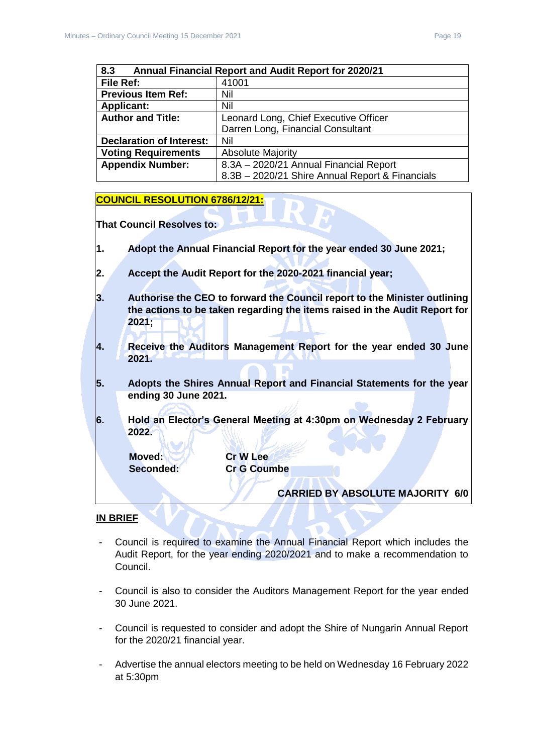<span id="page-18-0"></span>

| 8.3<br><b>Annual Financial Report and Audit Report for 2020/21</b> |                                                 |  |
|--------------------------------------------------------------------|-------------------------------------------------|--|
| File Ref:                                                          | 41001                                           |  |
| <b>Previous Item Ref:</b>                                          | Nil                                             |  |
| <b>Applicant:</b>                                                  | Nil                                             |  |
| <b>Author and Title:</b>                                           | Leonard Long, Chief Executive Officer           |  |
|                                                                    | Darren Long, Financial Consultant               |  |
| <b>Declaration of Interest:</b>                                    | Nil                                             |  |
| <b>Voting Requirements</b>                                         | <b>Absolute Majority</b>                        |  |
| <b>Appendix Number:</b>                                            | 8.3A - 2020/21 Annual Financial Report          |  |
|                                                                    | 8.3B - 2020/21 Shire Annual Report & Financials |  |

#### **COUNCIL RESOLUTION 6786/12/21:**

**That Council Resolves to:**

- **1. Adopt the Annual Financial Report for the year ended 30 June 2021;**
- **2. Accept the Audit Report for the 2020-2021 financial year;**
- **3. Authorise the CEO to forward the Council report to the Minister outlining the actions to be taken regarding the items raised in the Audit Report for 2021;**
- **4. Receive the Auditors Management Report for the year ended 30 June 2021.**
- **5. Adopts the Shires Annual Report and Financial Statements for the year ending 30 June 2021.**
- **6. Hold an Elector's General Meeting at 4:30pm on Wednesday 2 February 2022.**

**Moved: Cr W Lee**

**Seconded: Cr G Coumbe**

**CARRIED BY ABSOLUTE MAJORITY 6/0**

**IN BRIEF**

- Council is required to examine the Annual Financial Report which includes the Audit Report, for the year ending 2020/2021 and to make a recommendation to Council.
- Council is also to consider the Auditors Management Report for the year ended 30 June 2021.
- Council is requested to consider and adopt the Shire of Nungarin Annual Report for the 2020/21 financial year.
- Advertise the annual electors meeting to be held on Wednesday 16 February 2022 at 5:30pm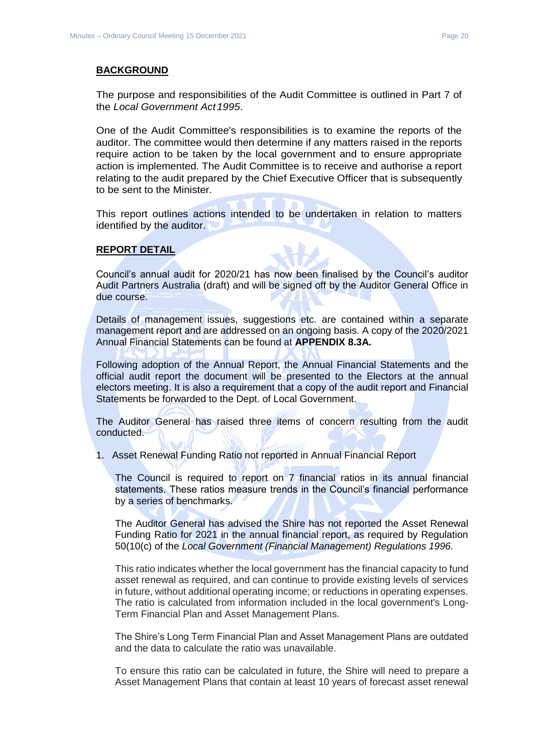#### **BACKGROUND**

The purpose and responsibilities of the Audit Committee is outlined in Part 7 of the *Local Government Act1995*.

One of the Audit Committee's responsibilities is to examine the reports of the auditor. The committee would then determine if any matters raised in the reports require action to be taken by the local government and to ensure appropriate action is implemented. The Audit Committee is to receive and authorise a report relating to the audit prepared by the Chief Executive Officer that is subsequently to be sent to the Minister.

This report outlines actions intended to be undertaken in relation to matters identified by the auditor.

#### **REPORT DETAIL**

Council's annual audit for 2020/21 has now been finalised by the Council's auditor Audit Partners Australia (draft) and will be signed off by the Auditor General Office in due course.

Details of management issues, suggestions etc. are contained within a separate management report and are addressed on an ongoing basis. A copy of the 2020/2021 Annual Financial Statements can be found at **APPENDIX 8.3A.**

Following adoption of the Annual Report, the Annual Financial Statements and the official audit report the document will be presented to the Electors at the annual electors meeting. It is also a requirement that a copy of the audit report and Financial Statements be forwarded to the Dept. of Local Government.

The Auditor General has raised three items of concern resulting from the audit conducted.

1. Asset Renewal Funding Ratio not reported in Annual Financial Report

The Council is required to report on 7 financial ratios in its annual financial statements. These ratios measure trends in the Council's financial performance by a series of benchmarks.

The Auditor General has advised the Shire has not reported the Asset Renewal Funding Ratio for 2021 in the annual financial report, as required by Regulation 50(10(c) of the *Local Government (Financial Management) Regulations 1996.*

This ratio indicates whether the local government has the financial capacity to fund asset renewal as required, and can continue to provide existing levels of services in future, without additional operating income; or reductions in operating expenses. The ratio is calculated from information included in the local government's Long-Term Financial Plan and Asset Management Plans.

The Shire's Long Term Financial Plan and Asset Management Plans are outdated and the data to calculate the ratio was unavailable.

To ensure this ratio can be calculated in future, the Shire will need to prepare a Asset Management Plans that contain at least 10 years of forecast asset renewal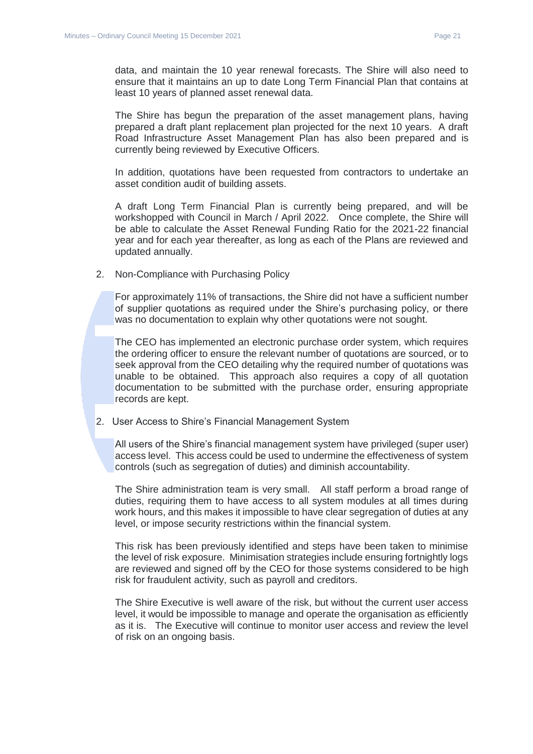data, and maintain the 10 year renewal forecasts. The Shire will also need to ensure that it maintains an up to date Long Term Financial Plan that contains at least 10 years of planned asset renewal data.

The Shire has begun the preparation of the asset management plans, having prepared a draft plant replacement plan projected for the next 10 years. A draft Road Infrastructure Asset Management Plan has also been prepared and is currently being reviewed by Executive Officers.

In addition, quotations have been requested from contractors to undertake an asset condition audit of building assets.

A draft Long Term Financial Plan is currently being prepared, and will be workshopped with Council in March / April 2022. Once complete, the Shire will be able to calculate the Asset Renewal Funding Ratio for the 2021-22 financial year and for each year thereafter, as long as each of the Plans are reviewed and updated annually.

2. Non-Compliance with Purchasing Policy

For approximately 11% of transactions, the Shire did not have a sufficient number of supplier quotations as required under the Shire's purchasing policy, or there was no documentation to explain why other quotations were not sought.

The CEO has implemented an electronic purchase order system, which requires the ordering officer to ensure the relevant number of quotations are sourced, or to seek approval from the CEO detailing why the required number of quotations was unable to be obtained. This approach also requires a copy of all quotation documentation to be submitted with the purchase order, ensuring appropriate records are kept.

2. User Access to Shire's Financial Management System

All users of the Shire's financial management system have privileged (super user) access level. This access could be used to undermine the effectiveness of system controls (such as segregation of duties) and diminish accountability.

The Shire administration team is very small. All staff perform a broad range of duties, requiring them to have access to all system modules at all times during work hours, and this makes it impossible to have clear segregation of duties at any level, or impose security restrictions within the financial system.

This risk has been previously identified and steps have been taken to minimise the level of risk exposure. Minimisation strategies include ensuring fortnightly logs are reviewed and signed off by the CEO for those systems considered to be high risk for fraudulent activity, such as payroll and creditors.

The Shire Executive is well aware of the risk, but without the current user access level, it would be impossible to manage and operate the organisation as efficiently as it is. The Executive will continue to monitor user access and review the level of risk on an ongoing basis.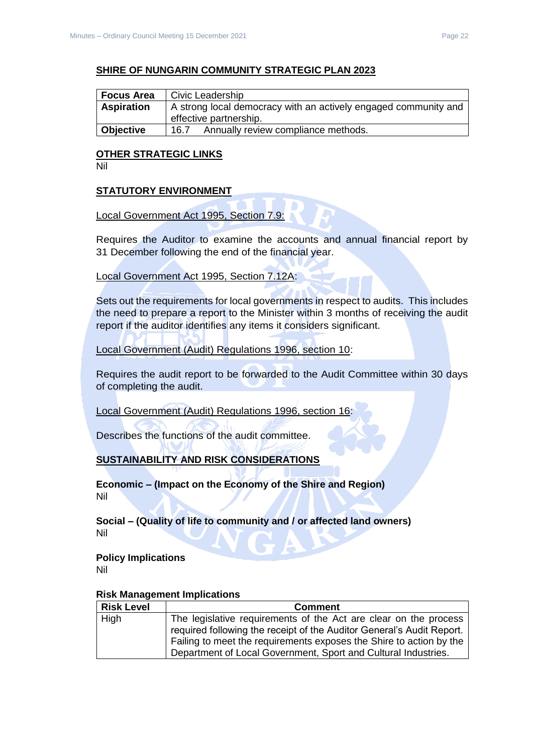#### **SHIRE OF NUNGARIN COMMUNITY STRATEGIC PLAN 2023**

| <b>Focus Area</b> | Civic Leadership                                                |  |  |
|-------------------|-----------------------------------------------------------------|--|--|
| <b>Aspiration</b> | A strong local democracy with an actively engaged community and |  |  |
|                   | effective partnership.                                          |  |  |
| <b>Objective</b>  | Annually review compliance methods.<br>16.7                     |  |  |

## **OTHER STRATEGIC LINKS**

Nil

#### **STATUTORY ENVIRONMENT**

#### Local Government Act 1995, Section 7.9:

Requires the Auditor to examine the accounts and annual financial report by 31 December following the end of the financial year.

#### Local Government Act 1995, Section 7.12A:

Sets out the requirements for local governments in respect to audits. This includes the need to prepare a report to the Minister within 3 months of receiving the audit report if the auditor identifies any items it considers significant.

#### Local Government (Audit) Regulations 1996, section 10:

Requires the audit report to be forwarded to the Audit Committee within 30 days of completing the audit.

Local Government (Audit) Regulations 1996, section 16:

Describes the functions of the audit committee.

## **SUSTAINABILITY AND RISK CONSIDERATIONS**

**Economic – (Impact on the Economy of the Shire and Region)** Nil

**Social – (Quality of life to community and / or affected land owners)** Nil

#### **Policy Implications** Nil

| <b>Risk Level</b> | <b>Comment</b>                                                        |
|-------------------|-----------------------------------------------------------------------|
| High              | The legislative requirements of the Act are clear on the process      |
|                   | required following the receipt of the Auditor General's Audit Report. |
|                   | Failing to meet the requirements exposes the Shire to action by the   |
|                   | Department of Local Government, Sport and Cultural Industries.        |

#### **Risk Management Implications**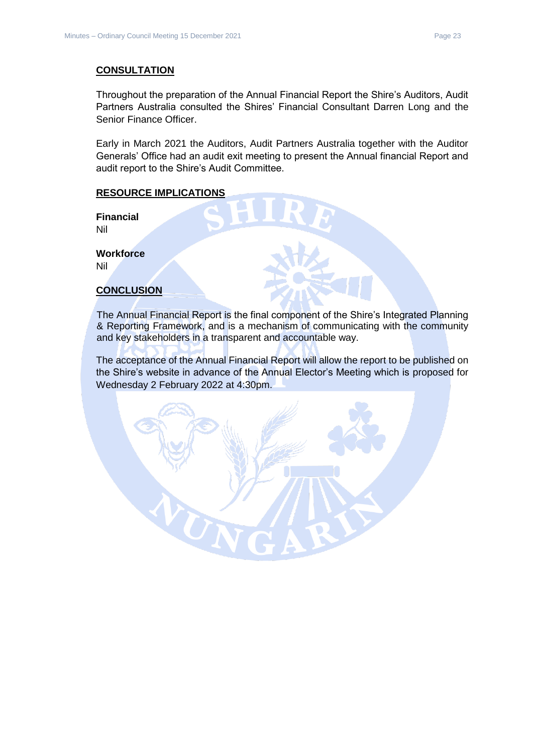#### **CONSULTATION**

Throughout the preparation of the Annual Financial Report the Shire's Auditors, Audit Partners Australia consulted the Shires' Financial Consultant Darren Long and the Senior Finance Officer.

Early in March 2021 the Auditors, Audit Partners Australia together with the Auditor Generals' Office had an audit exit meeting to present the Annual financial Report and audit report to the Shire's Audit Committee.

#### **RESOURCE IMPLICATIONS**

**Financial** Nil

**Workforce** Nil

#### **CONCLUSION**

The Annual Financial Report is the final component of the Shire's Integrated Planning & Reporting Framework, and is a mechanism of communicating with the community and key stakeholders in a transparent and accountable way.

The acceptance of the Annual Financial Report will allow the report to be published on the Shire's website in advance of the Annual Elector's Meeting which is proposed for Wednesday 2 February 2022 at 4:30pm.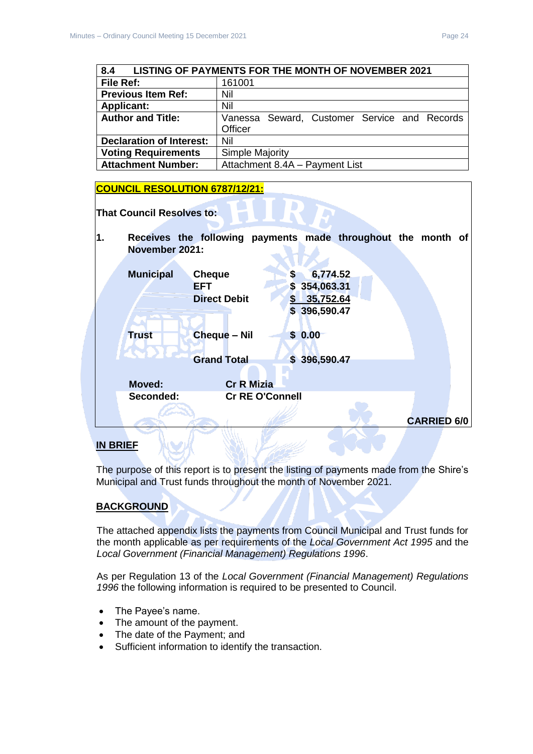<span id="page-23-0"></span>

| LISTING OF PAYMENTS FOR THE MONTH OF NOVEMBER 2021<br>8.4 |                                              |  |  |
|-----------------------------------------------------------|----------------------------------------------|--|--|
| File Ref:                                                 | 161001                                       |  |  |
| <b>Previous Item Ref:</b>                                 | Nil                                          |  |  |
| <b>Applicant:</b>                                         | Nil                                          |  |  |
| <b>Author and Title:</b>                                  | Vanessa Seward, Customer Service and Records |  |  |
|                                                           | Officer                                      |  |  |
| <b>Declaration of Interest:</b>                           | Nil                                          |  |  |
| <b>Voting Requirements</b>                                | Simple Majority                              |  |  |
| <b>Attachment Number:</b>                                 | Attachment 8.4A - Payment List               |  |  |

# **COUNCIL RESOLUTION 6787/12/21: That Council Resolves to: 1. Receives the following payments made throughout the month of November 2021: Municipal Cheque \$ 6,774.52 EFT** \$ 354,063.31 **Direct Debit \$ 35,752.64 \$ 396,590.47 Trust Cheque – Nil \$ 0.00 Grand Total \$ 396,590.47 Moved: Cr R Mizia Seconded: Cr RE O'Connell CARRIED 6/0 IN BRIEF**

The purpose of this report is to present the listing of payments made from the Shire's Municipal and Trust funds throughout the month of November 2021.

## **BACKGROUND**

The attached appendix lists the payments from Council Municipal and Trust funds for the month applicable as per requirements of the *Local Government Act 1995* and the *Local Government (Financial Management) Regulations 1996*.

As per Regulation 13 of the *Local Government (Financial Management) Regulations 1996* the following information is required to be presented to Council.

- The Payee's name.
- The amount of the payment.
- The date of the Payment; and
- Sufficient information to identify the transaction.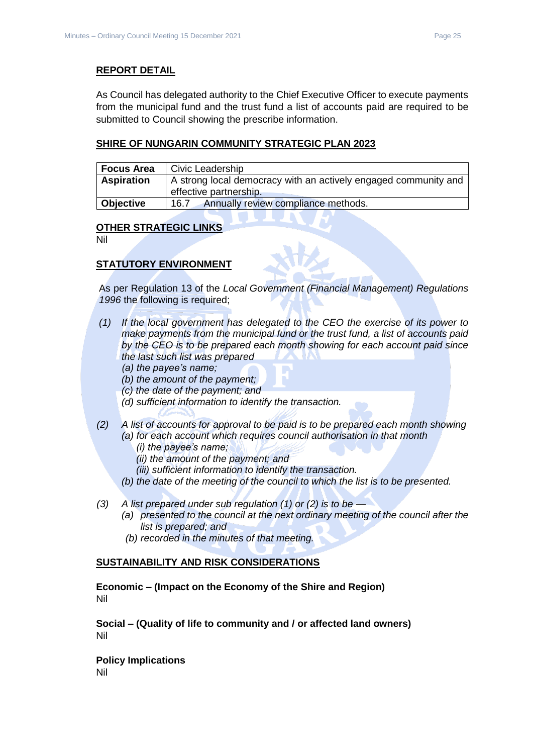#### **REPORT DETAIL**

As Council has delegated authority to the Chief Executive Officer to execute payments from the municipal fund and the trust fund a list of accounts paid are required to be submitted to Council showing the prescribe information.

#### **SHIRE OF NUNGARIN COMMUNITY STRATEGIC PLAN 2023**

| <b>Focus Area</b> | Civic Leadership                                                                          |
|-------------------|-------------------------------------------------------------------------------------------|
| <b>Aspiration</b> | A strong local democracy with an actively engaged community and<br>effective partnership. |
| Objective         | Annually review compliance methods.<br>16.7                                               |

#### **OTHER STRATEGIC LINKS**

Nil

#### **STATUTORY ENVIRONMENT**

As per Regulation 13 of the *Local Government (Financial Management) Regulations 1996* the following is required;

- *(1) If the local government has delegated to the CEO the exercise of its power to make payments from the municipal fund or the trust fund, a list of accounts paid by the CEO is to be prepared each month showing for each account paid since the last such list was prepared* 
	- *(a) the payee's name;*
	- *(b) the amount of the payment;*
	- *(c) the date of the payment; and*
	- *(d) sufficient information to identify the transaction.*
- *(2) A list of accounts for approval to be paid is to be prepared each month showing (a) for each account which requires council authorisation in that month* 
	- *(i) the payee's name;*
	- *(ii) the amount of the payment; and*
	- *(iii) sufficient information to identify the transaction.*
	- *(b) the date of the meeting of the council to which the list is to be presented.*
- *(3) A list prepared under sub regulation (1) or (2) is to be —*
	- *(a) presented to the council at the next ordinary meeting of the council after the list is prepared; and*
	- *(b) recorded in the minutes of that meeting.*

#### **SUSTAINABILITY AND RISK CONSIDERATIONS**

**Economic – (Impact on the Economy of the Shire and Region)** Nil

**Social – (Quality of life to community and / or affected land owners)** Nil

**Policy Implications** Nil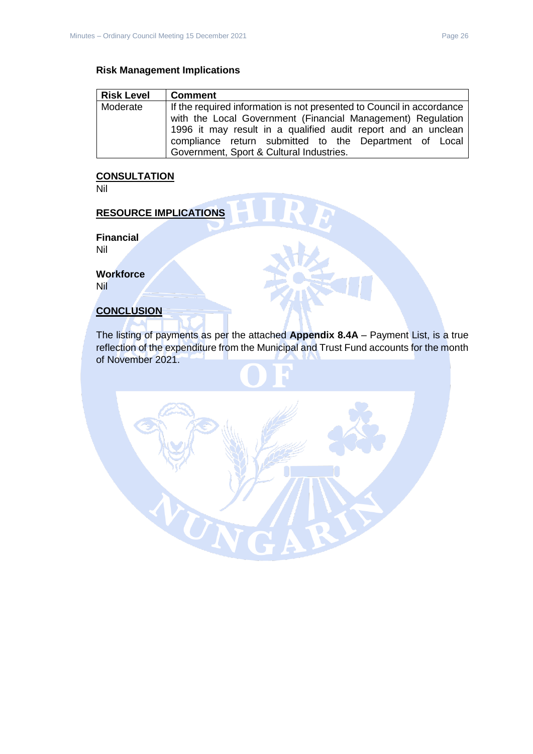#### **Risk Management Implications**

| <b>Risk Level</b> | <b>Comment</b>                                                        |
|-------------------|-----------------------------------------------------------------------|
| Moderate          | If the required information is not presented to Council in accordance |
|                   | with the Local Government (Financial Management) Regulation           |
|                   | 1996 it may result in a qualified audit report and an unclean         |
|                   | compliance return submitted to the Department of Local                |
|                   | Government, Sport & Cultural Industries.                              |

## **CONSULTATION**

Nil

## **RESOURCE IMPLICATIONS**

**Financial** Nil

**Workforce**

Nil

#### **CONCLUSION**

The listing of payments as per the attached **Appendix 8.4A** – Payment List, is a true reflection of the expenditure from the Municipal and Trust Fund accounts for the month of November 2021.

SN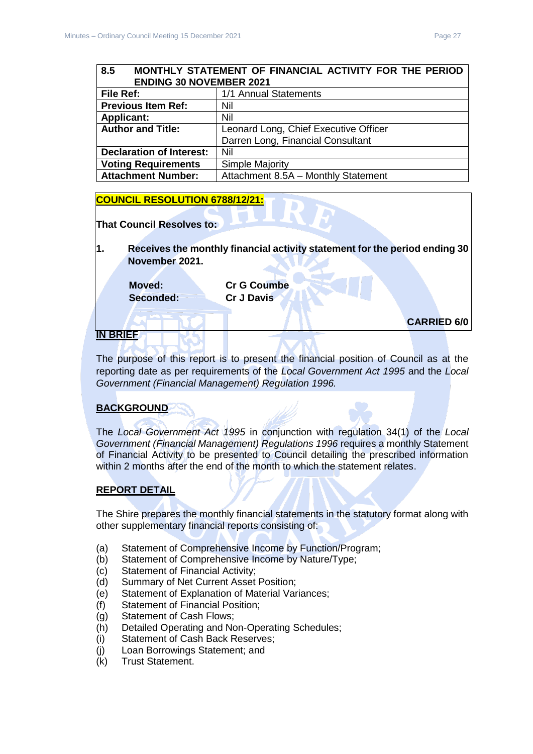#### <span id="page-26-0"></span>**8.5 MONTHLY STATEMENT OF FINANCIAL ACTIVITY FOR THE PERIOD ENDING 30 NOVEMBER 2021**

| File Ref:                       | 1/1 Annual Statements                 |
|---------------------------------|---------------------------------------|
| <b>Previous Item Ref:</b>       | Nil                                   |
| <b>Applicant:</b>               | Nil                                   |
| <b>Author and Title:</b>        | Leonard Long, Chief Executive Officer |
|                                 | Darren Long, Financial Consultant     |
| <b>Declaration of Interest:</b> | Nil                                   |
| <b>Voting Requirements</b>      | <b>Simple Majority</b>                |
| <b>Attachment Number:</b>       | Attachment 8.5A - Monthly Statement   |

#### **COUNCIL RESOLUTION 6788/12/21:**

| <b>That Council Resolves to:</b> |                                                                            |  |
|----------------------------------|----------------------------------------------------------------------------|--|
| November 2021.                   | Receives the monthly financial activity statement for the period ending 30 |  |
| <b>Moved:</b><br>Seconded:       | <b>Cr G Coumbe</b><br><b>Cr J Davis</b>                                    |  |

## **IN BRIEF**

The purpose of this report is to present the financial position of Council as at the reporting date as per requirements of the *Local Government Act 1995* and the *Local Government (Financial Management) Regulation 1996.*

## **BACKGROUND**

The *Local Government Act 1995* in conjunction with regulation 34(1) of the *Local Government (Financial Management) Regulations 1996* requires a monthly Statement of Financial Activity to be presented to Council detailing the prescribed information within 2 months after the end of the month to which the statement relates.

#### **REPORT DETAIL**

The Shire prepares the monthly financial statements in the statutory format along with other supplementary financial reports consisting of:

- (a) Statement of Comprehensive Income by Function/Program;
- (b) Statement of Comprehensive Income by Nature/Type;
- (c) Statement of Financial Activity;
- (d) Summary of Net Current Asset Position;
- (e) Statement of Explanation of Material Variances;
- (f) Statement of Financial Position;
- (g) Statement of Cash Flows;
- (h) Detailed Operating and Non-Operating Schedules;
- (i) Statement of Cash Back Reserves;
- (j) Loan Borrowings Statement; and
- (k) Trust Statement.

**CARRIED 6/0**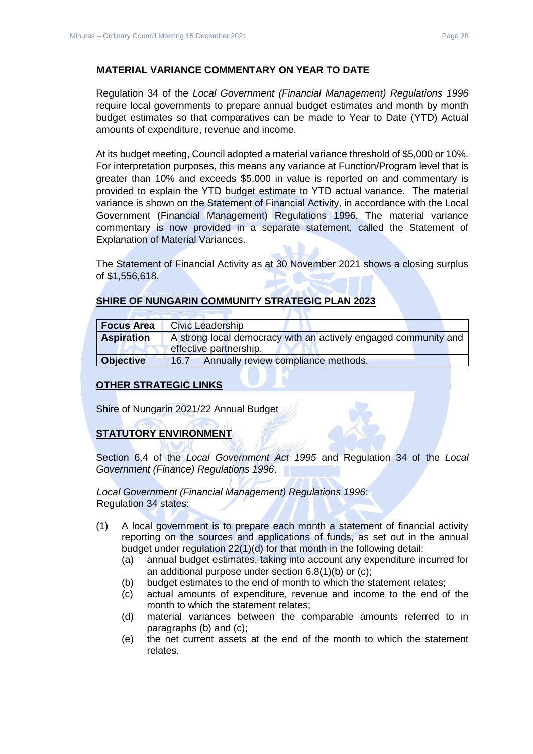Regulation 34 of the *Local Government (Financial Management) Regulations 1996*  require local governments to prepare annual budget estimates and month by month budget estimates so that comparatives can be made to Year to Date (YTD) Actual amounts of expenditure, revenue and income.

At its budget meeting, Council adopted a material variance threshold of \$5,000 or 10%. For interpretation purposes, this means any variance at Function/Program level that is greater than 10% and exceeds \$5,000 in value is reported on and commentary is provided to explain the YTD budget estimate to YTD actual variance. The material variance is shown on the Statement of Financial Activity, in accordance with the Local Government (Financial Management) Regulations 1996. The material variance commentary is now provided in a separate statement, called the Statement of Explanation of Material Variances.

The Statement of Financial Activity as at 30 November 2021 shows a closing surplus of \$1,556,618.

| <b>SHIRE OF NUNGARIN COMMUNITY STRATEGIC PLAN 2023</b> |  |  |
|--------------------------------------------------------|--|--|
|                                                        |  |  |

| <b>Focus Area</b> | <b>Civic Leadership</b>                                                                   |
|-------------------|-------------------------------------------------------------------------------------------|
| <b>Aspiration</b> | A strong local democracy with an actively engaged community and<br>effective partnership. |
| <b>Objective</b>  | Annually review compliance methods.<br>16.7                                               |

#### **OTHER STRATEGIC LINKS**

Shire of Nungarin 2021/22 Annual Budget

## **STATUTORY ENVIRONMENT**

Section 6.4 of the *Local Government Act 1995* and Regulation 34 of the *Local Government (Finance) Regulations 1996*.

*Local Government (Financial Management) Regulations 1996*: Regulation 34 states:

- (1) A local government is to prepare each month a statement of financial activity reporting on the sources and applications of funds, as set out in the annual budget under regulation 22(1)(d) for that month in the following detail:
	- (a) annual budget estimates, taking into account any expenditure incurred for an additional purpose under section 6.8(1)(b) or (c);
	- (b) budget estimates to the end of month to which the statement relates;
	- (c) actual amounts of expenditure, revenue and income to the end of the month to which the statement relates;
	- (d) material variances between the comparable amounts referred to in paragraphs (b) and (c);
	- (e) the net current assets at the end of the month to which the statement relates.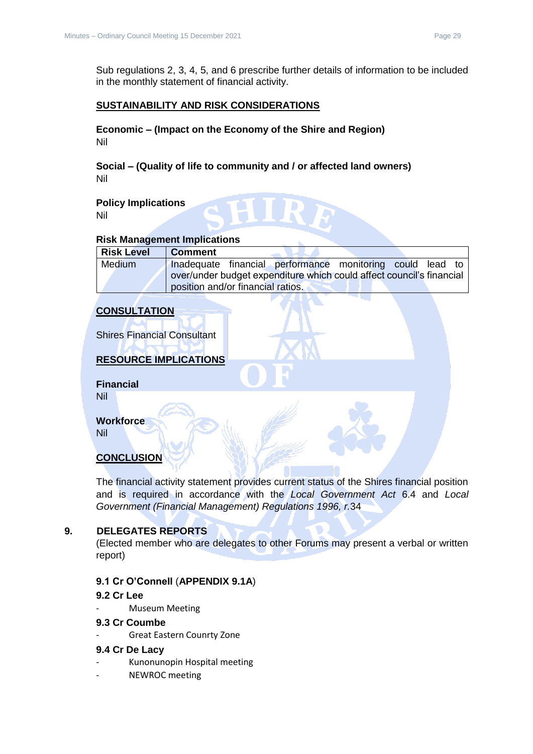Sub regulations 2, 3, 4, 5, and 6 prescribe further details of information to be included in the monthly statement of financial activity.

### **SUSTAINABILITY AND RISK CONSIDERATIONS**

**Economic – (Impact on the Economy of the Shire and Region)** Nil

**Social – (Quality of life to community and / or affected land owners)** Nil

**Policy Implications** Nil

#### **Risk Management Implications**

| <b>Risk Level</b> | <b>Comment</b>                                                       |
|-------------------|----------------------------------------------------------------------|
| <b>Medium</b>     | Inadequate financial performance monitoring could lead to            |
|                   | over/under budget expenditure which could affect council's financial |
|                   | position and/or financial ratios.                                    |

#### **CONSULTATION**

Shires Financial Consultant

## **RESOURCE IMPLICATIONS**

**Financial** Nil

**Workforce**

Nil

#### **CONCLUSION**

The financial activity statement provides current status of the Shires financial position and is required in accordance with the *Local Government Act* 6.4 and *Local Government (Financial Management) Regulations 1996, r.*34

#### <span id="page-28-0"></span>**9. DELEGATES REPORTS**

(Elected member who are delegates to other Forums may present a verbal or written report)

## <span id="page-28-1"></span>**9.1 Cr O'Connell** (**APPENDIX 9.1A**)

#### **9.2 Cr Lee**

Museum Meeting

#### **9.3 Cr Coumbe**

Great Eastern Counrty Zone

#### **9.4 Cr De Lacy**

- Kunonunopin Hospital meeting
- NEWROC meeting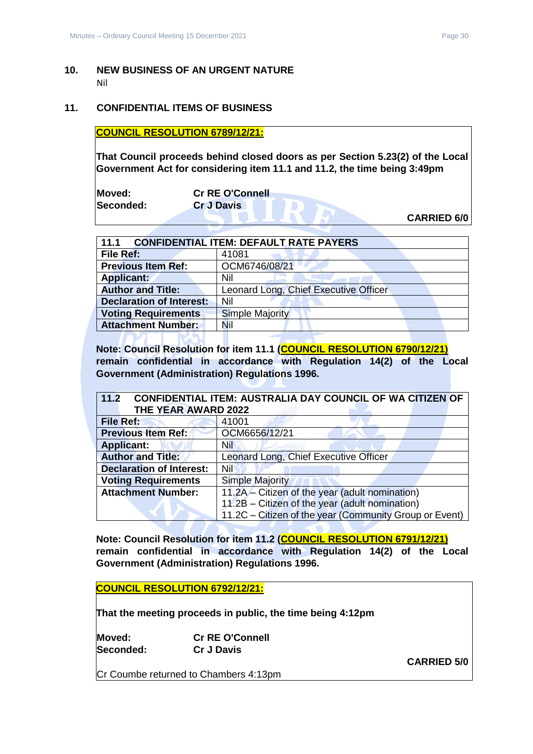#### <span id="page-29-0"></span>**10. NEW BUSINESS OF AN URGENT NATURE** Nil

#### <span id="page-29-1"></span>**11. CONFIDENTIAL ITEMS OF BUSINESS**

**COUNCIL RESOLUTION 6789/12/21:**

**That Council proceeds behind closed doors as per Section 5.23(2) of the Local Government Act for considering item 11.1 and 11.2, the time being 3:49pm** 

| Moved:    | <b>Cr RE O'Connell</b> |                    |
|-----------|------------------------|--------------------|
| Seconded: | <b>Cr J Davis</b>      |                    |
|           |                        | <b>CARRIED 6/0</b> |

**CARRIED 6/0**

<span id="page-29-2"></span>

| <b>CONFIDENTIAL ITEM: DEFAULT RATE PAYERS</b><br>11.1 |                                       |  |
|-------------------------------------------------------|---------------------------------------|--|
| File Ref:                                             | 41081                                 |  |
| <b>Previous Item Ref:</b>                             | OCM6746/08/21                         |  |
| <b>Applicant:</b>                                     | Nil                                   |  |
| <b>Author and Title:</b>                              | Leonard Long, Chief Executive Officer |  |
| <b>Declaration of Interest:</b>                       | Nil                                   |  |
| <b>Voting Requirements</b>                            | <b>Simple Majority</b>                |  |
| <b>Attachment Number:</b>                             | Nil                                   |  |
|                                                       |                                       |  |

**Note: Council Resolution for item 11.1 (COUNCIL RESOLUTION 6790/12/21) remain confidential in accordance with Regulation 14(2) of the Local Government (Administration) Regulations 1996.**

<span id="page-29-3"></span>

| <b>CONFIDENTIAL ITEM: AUSTRALIA DAY COUNCIL OF WA CITIZEN OF</b><br>11.2 |                                                        |  |
|--------------------------------------------------------------------------|--------------------------------------------------------|--|
| THE YEAR AWARD 2022                                                      |                                                        |  |
| <b>File Ref:</b>                                                         | 41001                                                  |  |
| <b>Previous Item Ref:</b>                                                | OCM6656/12/21                                          |  |
| <b>Applicant:</b>                                                        | <b>Nil</b>                                             |  |
| <b>Author and Title:</b>                                                 | Leonard Long, Chief Executive Officer                  |  |
| <b>Declaration of Interest:</b>                                          | Nil                                                    |  |
| <b>Voting Requirements</b>                                               | <b>Simple Majority</b>                                 |  |
| <b>Attachment Number:</b>                                                | 11.2A - Citizen of the year (adult nomination)         |  |
|                                                                          | 11.2B - Citizen of the year (adult nomination)         |  |
|                                                                          | 11.2C – Citizen of the year (Community Group or Event) |  |

**Note: Council Resolution for item 11.2 (COUNCIL RESOLUTION 6791/12/21) remain confidential in accordance with Regulation 14(2) of the Local Government (Administration) Regulations 1996.**

**COUNCIL RESOLUTION 6792/12/21:**

**That the meeting proceeds in public, the time being 4:12pm** 

**Moved: Cr RE O'Connell Seconded: Cr J Davis**

Cr Coumbe returned to Chambers 4:13pm

**CARRIED 5/0**